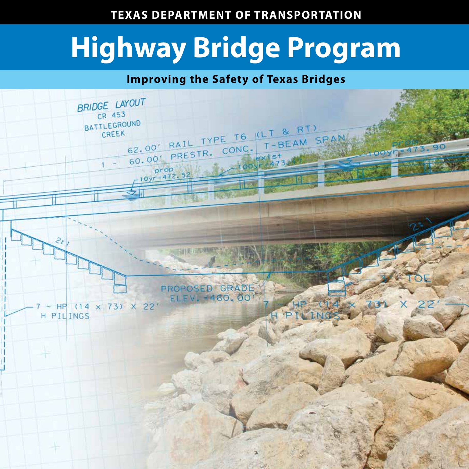# **TEXAS DEPARTMENT OF TRANSPORTATION**

# **Highway Bridge Program**

# **Improving the Safety of Texas Bridges**

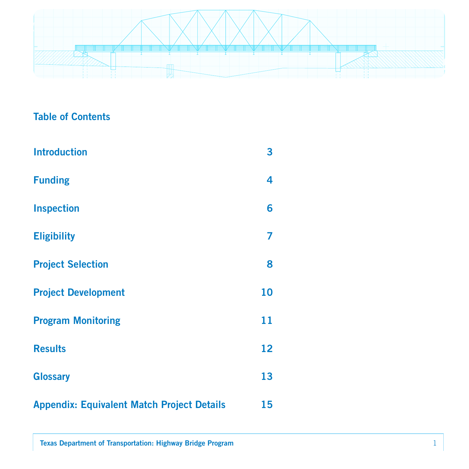

# Table of Contents

| <b>Introduction</b>                               | 3  |
|---------------------------------------------------|----|
| <b>Funding</b>                                    | 4  |
| <b>Inspection</b>                                 | 6  |
| <b>Eligibility</b>                                | 7  |
| <b>Project Selection</b>                          | 8  |
| <b>Project Development</b>                        | 10 |
| <b>Program Monitoring</b>                         | 11 |
| <b>Results</b>                                    | 12 |
| <b>Glossary</b>                                   | 13 |
| <b>Appendix: Equivalent Match Project Details</b> | 15 |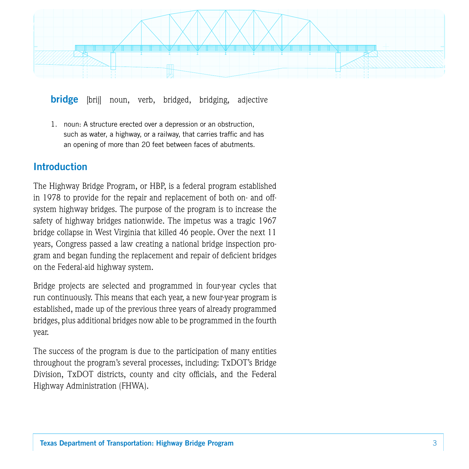

bridge [brij] noun, verb, bridged, bridging, adjective

1. noun: A structure erected over a depression or an obstruction, such as water, a highway, or a railway, that carries traffic and has an opening of more than 20 feet between faces of abutments.

## Introduction

The Highway Bridge Program, or HBP, is a federal program established in 1978 to provide for the repair and replacement of both on- and offsystem highway bridges. The purpose of the program is to increase the safety of highway bridges nationwide. The impetus was a tragic 1967 bridge collapse in West Virginia that killed 46 people. Over the next 11 years, Congress passed a law creating a national bridge inspection program and began funding the replacement and repair of deficient bridges on the Federal-aid highway system.

Bridge projects are selected and programmed in four-year cycles that run continuously. This means that each year, a new four-year program is established, made up of the previous three years of already programmed bridges, plus additional bridges now able to be programmed in the fourth year.

The success of the program is due to the participation of many entities throughout the program's several processes, including: TxDOT's Bridge Division, TxDOT districts, county and city officials, and the Federal Highway Administration (FHWA).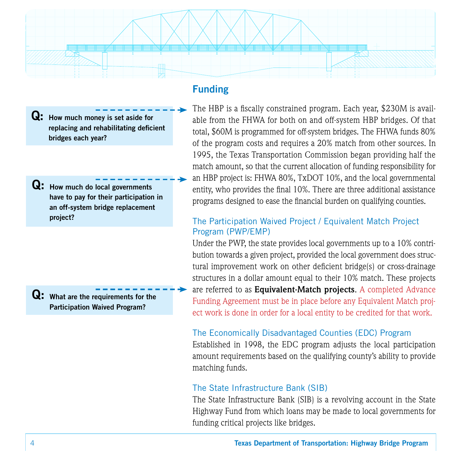

 $\overline{Q}$ : How much money is set aside for replacing and rehabilitating deficient bridges each year?

 $\mathbf{Q:}$  How much do local governments have to pay for their participation in an off-system bridge replacement project?

 $\overline{Q}$ : What are the requirements for the Participation Waived Program?

# Funding

The HBP is a fiscally constrained program. Each year, \$230M is available from the FHWA for both on and off-system HBP bridges. Of that total, \$60M is programmed for off-system bridges. The FHWA funds 80% of the program costs and requires a 20% match from other sources. In 1995, the Texas Transportation Commission began providing half the match amount, so that the current allocation of funding responsibility for an HBP project is: FHWA 80%, TxDOT 10%, and the local governmental entity, who provides the final 10%. There are three additional assistance programs designed to ease the financial burden on qualifying counties.

## The Participation Waived Project / Equivalent Match Project Program (PWP/EMP)

Under the PWP, the state provides local governments up to a 10% contribution towards a given project, provided the local government does structural improvement work on other deficient bridge(s) or cross-drainage structures in a dollar amount equal to their 10% match. These projects are referred to as **Equivalent-Match projects**. A completed Advance Funding Agreement must be in place before any Equivalent Match project work is done in order for a local entity to be credited for that work.

## The Economically Disadvantaged Counties (EDC) Program

Established in 1998, the EDC program adjusts the local participation amount requirements based on the qualifying county's ability to provide matching funds.

## The State Infrastructure Bank (SIB)

The State Infrastructure Bank (SIB) is a revolving account in the State Highway Fund from which loans may be made to local governments for funding critical projects like bridges.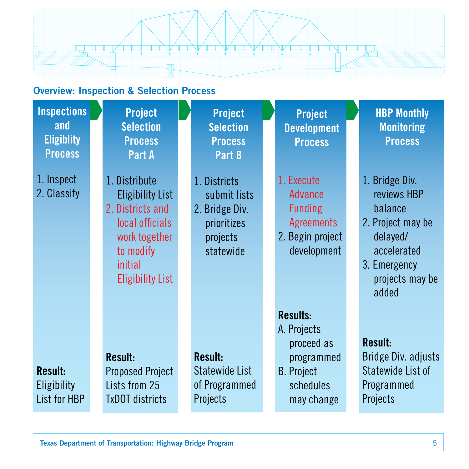

# Overview: Inspection & Selection Process

| <b>Inspections</b><br>and<br><b>Eligiblity</b><br><b>Process</b> | <b>Project</b><br><b>Selection</b><br><b>Process</b><br>Part A                                                                                      | <b>Project</b><br><b>Selection</b><br><b>Process</b><br>Part B                         | <b>Project</b><br><b>Development</b><br><b>Process</b>                                                     | <b>HBP Monthly</b><br><b>Monitoring</b><br><b>Process</b>                                                                            |
|------------------------------------------------------------------|-----------------------------------------------------------------------------------------------------------------------------------------------------|----------------------------------------------------------------------------------------|------------------------------------------------------------------------------------------------------------|--------------------------------------------------------------------------------------------------------------------------------------|
| 1. Inspect<br>2. Classify                                        | 1. Distribute<br><b>Eligibility List</b><br>2. Districts and<br>local officials<br>work together<br>to modify<br>initial<br><b>Eligibility List</b> | 1. Districts<br>submit lists<br>2. Bridge Div.<br>prioritizes<br>projects<br>statewide | 1. Execute<br><b>Advance</b><br><b>Funding</b><br><b>Agreements</b><br>2. Begin project<br>development     | 1. Bridge Div.<br>reviews HBP<br>balance<br>2. Project may be<br>delayed/<br>accelerated<br>3. Emergency<br>projects may be<br>added |
| <b>Result:</b><br><b>Eligibility</b><br>List for HBP             | Result:<br><b>Proposed Project</b><br>Lists from 25<br><b>TxDOT</b> districts                                                                       | Result:<br>Statewide List<br>of Programmed<br>Projects                                 | <b>Results:</b><br>A. Projects<br>proceed as<br>programmed<br><b>B.</b> Project<br>schedules<br>may change | <b>Result:</b><br>Bridge Div. adjusts<br>Statewide List of<br>Programmed<br>Projects                                                 |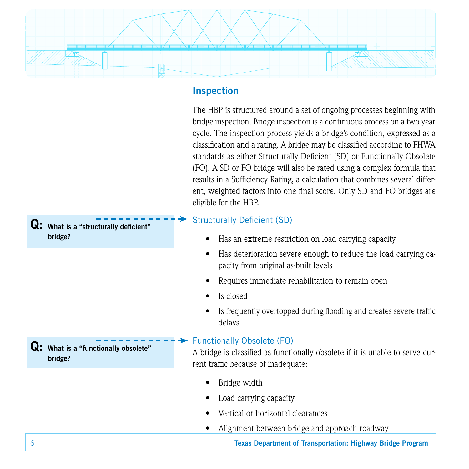

## Inspection

The HBP is structured around a set of ongoing processes beginning with bridge inspection. Bridge inspection is a continuous process on a two-year cycle. The inspection process yields a bridge's condition, expressed as a classification and a rating. A bridge may be classified according to FHWA standards as either Structurally Deficient (SD) or Functionally Obsolete (FO). A SD or FO bridge will also be rated using a complex formula that results in a Sufficiency Rating, a calculation that combines several different, weighted factors into one final score. Only SD and FO bridges are eligible for the HBP.

## Structurally Deficient (SD)

- Has an extreme restriction on load carrying capacity
- Has deterioration severe enough to reduce the load carrying capacity from original as-built levels
- Requires immediate rehabilitation to remain open
- Is closed
- Is frequently overtopped during flooding and creates severe traffic delays

## Functionally Obsolete (FO)

A bridge is classified as functionally obsolete if it is unable to serve current traffic because of inadequate:

- Bridge width
- Load carrying capacity
- Vertical or horizontal clearances
- Alignment between bridge and approach roadway

6 Texas Department of Transportation: Highway Bridge Program

 $\mathbf{Q}$ : What is a "structurally deficient" bridge?

 $\overline{Q}$ : What is a "functionally obsolete" bridge?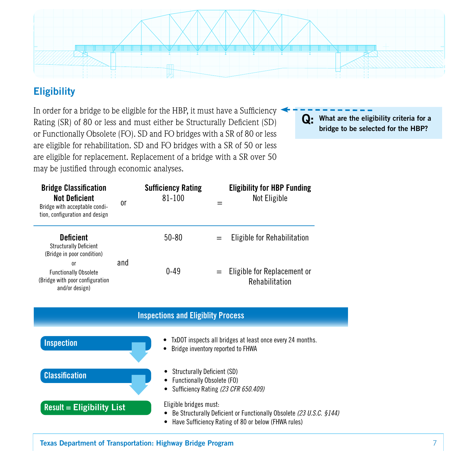

# **Eligibility**

In order for a bridge to be eligible for the HBP, it must have a Sufficiency Rating (SR) of 80 or less and must either be Structurally Deficient (SD) or Functionally Obsolete (FO). SD and FO bridges with a SR of 80 or less are eligible for rehabilitation. SD and FO bridges with a SR of 50 or less are eligible for replacement. Replacement of a bridge with a SR over 50 may be justified through economic analyses.

Q: What are the eligibility criteria for a bridge to be selected for the HBP?

| <b>Bridge Classification</b><br><b>Not Deficient</b><br>Bridge with acceptable condi-<br>tion, configuration and design | 0r  | <b>Sufficiency Rating</b><br>81-100 |     | <b>Eligibility for HBP Funding</b><br>Not Eligible |
|-------------------------------------------------------------------------------------------------------------------------|-----|-------------------------------------|-----|----------------------------------------------------|
| <b>Deficient</b><br><b>Structurally Deficient</b><br>(Bridge in poor condition)                                         |     | $50 - 80$                           | $=$ | Eligible for Rehabilitation                        |
| <sub>0</sub> r<br><b>Functionally Obsolete</b><br>(Bridge with poor configuration)<br>and/or design)                    | and | $0 - 49$                            |     | $=$ Eligible for Replacement or<br>Rehabilitation  |



Texas Department of Transportation: Highway Bridge Program 7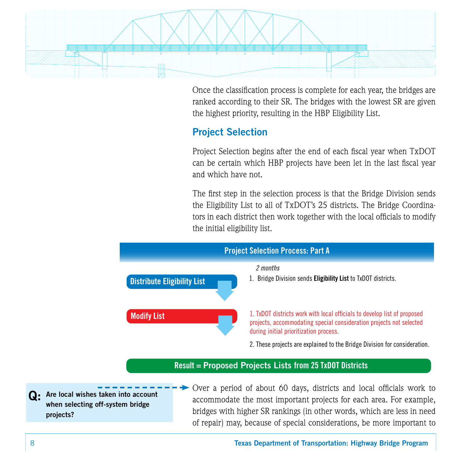

Once the classification process is complete for each year, the bridges are ranked according to their SR. The bridges with the lowest SR are given the highest priority, resulting in the HBP Eligibility List.

# Project Selection

Project Selection begins after the end of each fiscal year when TxDOT can be certain which HBP projects have been let in the last fiscal year and which have not.

The first step in the selection process is that the Bridge Division sends the Eligibility List to all of TxDOT's 25 districts. The Bridge Coordinators in each district then work together with the local officials to modify the initial eligibility list.



Q: Are local wishes taken into account when selecting off-system bridge projects?

accommodate the most important projects for each area. For example, bridges with higher SR rankings (in other words, which are less in need of repair) may, because of special considerations, be more important to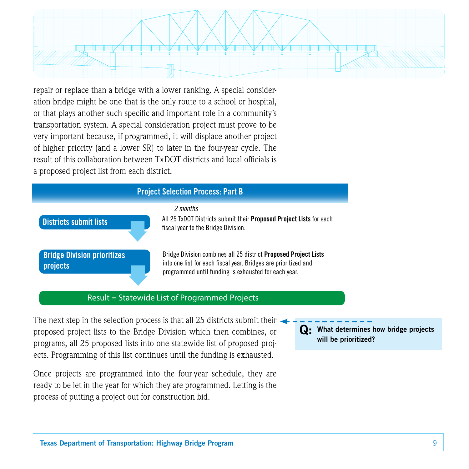

repair or replace than a bridge with a lower ranking. A special consideration bridge might be one that is the only route to a school or hospital, or that plays another such specific and important role in a community's transportation system. A special consideration project must prove to be very important because, if programmed, it will displace another project of higher priority (and a lower SR) to later in the four-year cycle. The result of this collaboration between TxDOT districts and local officials is a proposed project list from each district.

#### Project Selection Process: Part B





All 25 TxDOT Districts submit their Proposed Project Lists for each fiscal year to the Bridge Division.

Bridge Division combines all 25 district Proposed Project Lists into one list for each fiscal year. Bridges are prioritized and programmed until funding is exhausted for each year.

### Result = Statewide List of Programmed Projects

The next step in the selection process is that all 25 districts submit their proposed project lists to the Bridge Division which then combines, or programs, all 25 proposed lists into one statewide list of proposed projects. Programming of this list continues until the funding is exhausted.

Once projects are programmed into the four-year schedule, they are ready to be let in the year for which they are programmed. Letting is the process of putting a project out for construction bid.

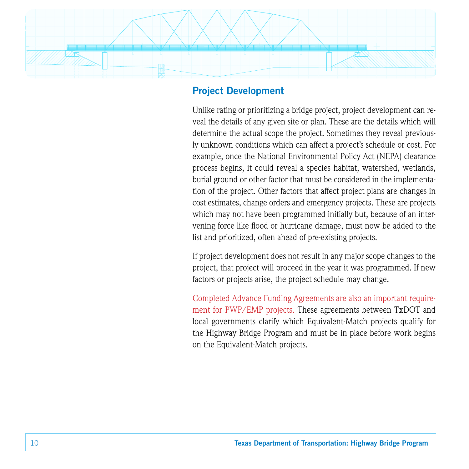

## Project Development

Unlike rating or prioritizing a bridge project, project development can reveal the details of any given site or plan. These are the details which will determine the actual scope the project. Sometimes they reveal previously unknown conditions which can affect a project's schedule or cost. For example, once the National Environmental Policy Act (NEPA) clearance process begins, it could reveal a species habitat, watershed, wetlands, burial ground or other factor that must be considered in the implementation of the project. Other factors that affect project plans are changes in cost estimates, change orders and emergency projects. These are projects which may not have been programmed initially but, because of an intervening force like flood or hurricane damage, must now be added to the list and prioritized, often ahead of pre-existing projects.

If project development does not result in any major scope changes to the project, that project will proceed in the year it was programmed. If new factors or projects arise, the project schedule may change.

Completed Advance Funding Agreements are also an important requirement for PWP/EMP projects. These agreements between TxDOT and local governments clarify which Equivalent-Match projects qualify for the Highway Bridge Program and must be in place before work begins on the Equivalent-Match projects.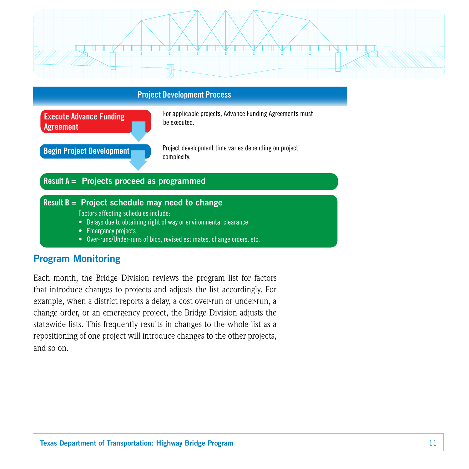



## Program Monitoring

Each month, the Bridge Division reviews the program list for factors that introduce changes to projects and adjusts the list accordingly. For example, when a district reports a delay, a cost over-run or under-run, a change order, or an emergency project, the Bridge Division adjusts the statewide lists. This frequently results in changes to the whole list as a repositioning of one project will introduce changes to the other projects, and so on.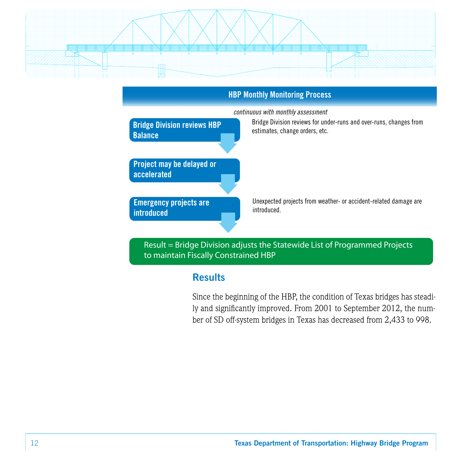



Result = Bridge Division adjusts the Statewide List of Programmed Projects to maintain Fiscally Constrained HBP

## **Results**

Since the beginning of the HBP, the condition of Texas bridges has steadily and significantly improved. From 2001 to September 2012, the number of SD off-system bridges in Texas has decreased from 2,433 to 998.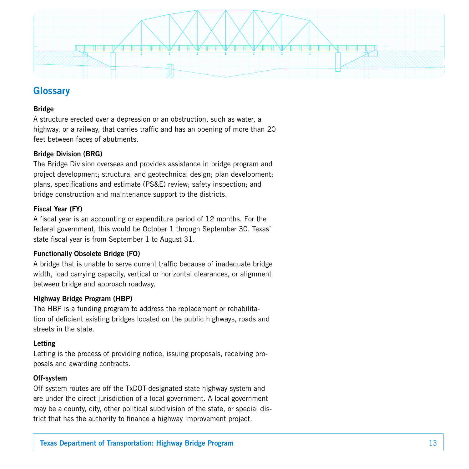

## **Glossary**

#### **Bridge**

A structure erected over a depression or an obstruction, such as water, a highway, or a railway, that carries traffic and has an opening of more than 20 feet between faces of abutments.

#### Bridge Division (BRG)

The Bridge Division oversees and provides assistance in bridge program and project development; structural and geotechnical design; plan development; plans, specifications and estimate (PS&E) review; safety inspection; and bridge construction and maintenance support to the districts.

#### Fiscal Year (FY)

A fiscal year is an accounting or expenditure period of 12 months. For the federal government, this would be October 1 through September 30. Texas' state fiscal year is from September 1 to August 31.

#### Functionally Obsolete Bridge (FO)

A bridge that is unable to serve current traffic because of inadequate bridge width, load carrying capacity, vertical or horizontal clearances, or alignment between bridge and approach roadway.

#### Highway Bridge Program (HBP)

The HBP is a funding program to address the replacement or rehabilitation of deficient existing bridges located on the public highways, roads and streets in the state.

#### Letting

Letting is the process of providing notice, issuing proposals, receiving proposals and awarding contracts.

#### Off-system

Off-system routes are off the TxDOT-designated state highway system and are under the direct jurisdiction of a local government. A local government may be a county, city, other political subdivision of the state, or special district that has the authority to finance a highway improvement project.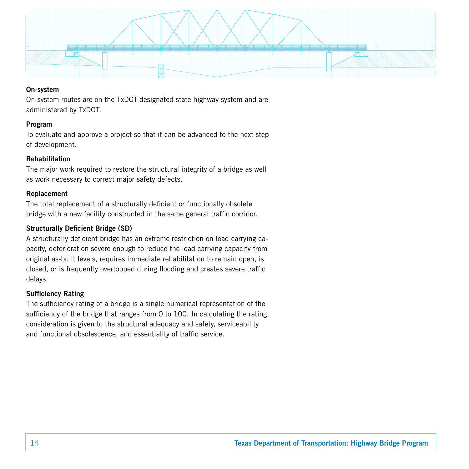

#### On-system

On-system routes are on the TxDOT-designated state highway system and are administered by TxDOT.

#### Program

To evaluate and approve a project so that it can be advanced to the next step of development.

#### Rehabilitation

The major work required to restore the structural integrity of a bridge as well as work necessary to correct major safety defects.

#### Replacement

The total replacement of a structurally deficient or functionally obsolete bridge with a new facility constructed in the same general traffic corridor.

#### Structurally Deficient Bridge (SD)

A structurally deficient bridge has an extreme restriction on load carrying capacity, deterioration severe enough to reduce the load carrying capacity from original as-built levels, requires immediate rehabilitation to remain open, is closed, or is frequently overtopped during flooding and creates severe traffic delays.

#### Sufficiency Rating

The sufficiency rating of a bridge is a single numerical representation of the sufficiency of the bridge that ranges from 0 to 100. In calculating the rating, consideration is given to the structural adequacy and safety, serviceability and functional obsolescence, and essentiality of traffic service.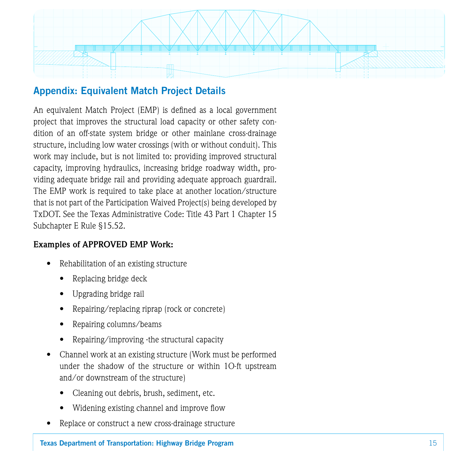

## Appendix: Equivalent Match Project Details

An equivalent Match Project (EMP) is defined as a local government project that improves the structural load capacity or other safety condition of an off-state system bridge or other mainlane cross-drainage structure, including low water crossings (with or without conduit). This work may include, but is not limited to: providing improved structural capacity, improving hydraulics, increasing bridge roadway width, providing adequate bridge rail and providing adequate approach guardrail. The EMP work is required to take place at another location/structure that is not part of the Participation Waived Project(s) being developed by TxDOT. See the Texas Administrative Code: Title 43 Part 1 Chapter 15 Subchapter E Rule §15.52.

## **Examples of APPROVED EMP Work:**

- Rehabilitation of an existing structure
	- Replacing bridge deck
	- Upgrading bridge rail
	- Repairing/replacing riprap (rock or concrete)
	- Repairing columns/beams
	- Repairing/improving ·the structural capacity
- Channel work at an existing structure (Work must be performed under the shadow of the structure or within 1O-ft upstream and/or downstream of the structure)
	- Cleaning out debris, brush, sediment, etc.
	- Widening existing channel and improve flow
- Replace or construct a new cross-drainage structure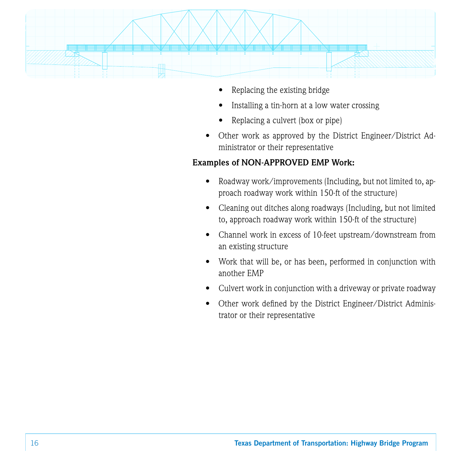

- Replacing the existing bridge
- Installing a tin-horn at a low water crossing
- Replacing a culvert (box or pipe)
- Other work as approved by the District Engineer/District Administrator or their representative

## **Examples of NON-APPROVED EMP Work:**

- Roadway work/improvements (Including, but not limited to, approach roadway work within 150-ft of the structure)
- Cleaning out ditches along roadways (Including, but not limited to, approach roadway work within 150-ft of the structure)
- Channel work in excess of 10-feet upstream/downstream from an existing structure
- Work that will be, or has been, performed in conjunction with another EMP
- Culvert work in conjunction with a driveway or private roadway
- Other work defined by the District Engineer/District Administrator or their representative